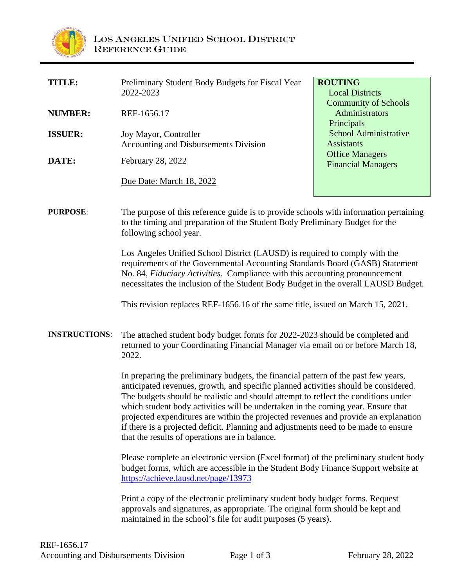

| TITLE:         | Preliminary Student Body Budgets for Fiscal Year | <b>ROUTING</b>                                      |
|----------------|--------------------------------------------------|-----------------------------------------------------|
|                | 2022-2023                                        | <b>Local Districts</b>                              |
|                |                                                  | <b>Community of Schools</b>                         |
| <b>NUMBER:</b> | REF-1656.17                                      | <b>Administrators</b>                               |
|                |                                                  | Principals                                          |
| <b>ISSUER:</b> | Joy Mayor, Controller                            | <b>School Administrative</b>                        |
|                | Accounting and Disbursements Division            | Assistants                                          |
| DATE:          | February 28, 2022                                | <b>Office Managers</b><br><b>Financial Managers</b> |
|                |                                                  |                                                     |
|                | Due Date: March 18, 2022                         |                                                     |
|                |                                                  |                                                     |
|                |                                                  |                                                     |

#### **PURPOSE:** The purpose of this reference guide is to provide schools with information pertaining to the timing and preparation of the Student Body Preliminary Budget for the following school year.

Los Angeles Unified School District (LAUSD) is required to comply with the requirements of the Governmental Accounting Standards Board (GASB) Statement No. 84, *Fiduciary Activities.* Compliance with this accounting pronouncement necessitates the inclusion of the Student Body Budget in the overall LAUSD Budget.

This revision replaces REF-1656.16 of the same title, issued on March 15, 2021.

### **INSTRUCTIONS**: The attached student body budget forms for 2022-2023 should be completed and returned to your Coordinating Financial Manager via email on or before March 18, 2022.

In preparing the preliminary budgets, the financial pattern of the past few years, anticipated revenues, growth, and specific planned activities should be considered. The budgets should be realistic and should attempt to reflect the conditions under which student body activities will be undertaken in the coming year. Ensure that projected expenditures are within the projected revenues and provide an explanation if there is a projected deficit. Planning and adjustments need to be made to ensure that the results of operations are in balance.

Please complete an electronic version (Excel format) of the preliminary student body budget forms, which are accessible in the Student Body Finance Support website at <https://achieve.lausd.net/page/13973>

Print a copy of the electronic preliminary student body budget forms. Request approvals and signatures, as appropriate. The original form should be kept and maintained in the school's file for audit purposes (5 years).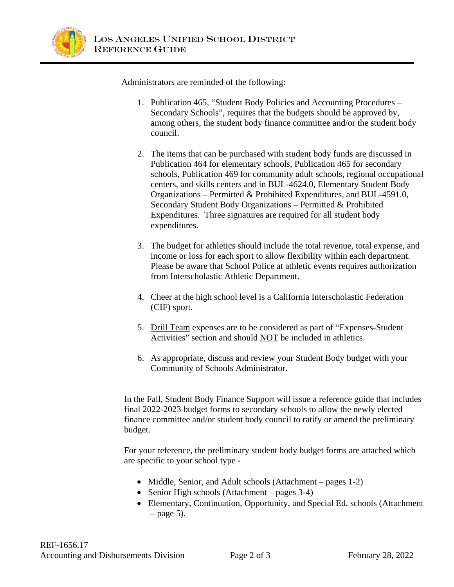

Administrators are reminded of the following:

- 1. Publication 465, "Student Body Policies and Accounting Procedures Secondary Schools", requires that the budgets should be approved by, among others, the student body finance committee and/or the student body council.
- 2. The items that can be purchased with student body funds are discussed in Publication 464 for elementary schools, Publication 465 for secondary schools, Publication 469 for community adult schools, regional occupational centers, and skills centers and in BUL-4624.0, Elementary Student Body Organizations – Permitted & Prohibited Expenditures, and BUL-4591.0, Secondary Student Body Organizations – Permitted & Prohibited Expenditures. Three signatures are required for all student body expenditures.
- 3. The budget for athletics should include the total revenue, total expense, and income or loss for each sport to allow flexibility within each department. Please be aware that School Police at athletic events requires authorization from Interscholastic Athletic Department.
- 4. Cheer at the high school level is a California Interscholastic Federation (CIF) sport.
- 5. Drill Team expenses are to be considered as part of "Expenses-Student Activities" section and should NOT be included in athletics.
- 6. As appropriate, discuss and review your Student Body budget with your Community of Schools Administrator.

In the Fall, Student Body Finance Support will issue a reference guide that includes final 2022-2023 budget forms to secondary schools to allow the newly elected finance committee and/or student body council to ratify or amend the preliminary budget.

For your reference, the preliminary student body budget forms are attached which are specific to your school type -

- Middle, Senior, and Adult schools (Attachment pages 1-2)
- Senior High schools (Attachment pages 3-4)
- Elementary, Continuation, Opportunity, and Special Ed. schools (Attachment  $-$  page 5).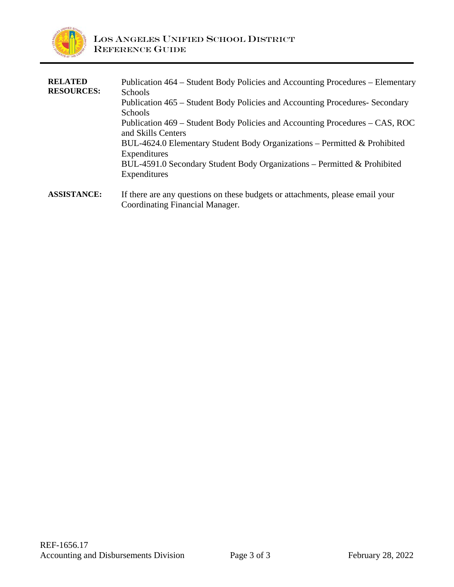

| <b>RELATED</b><br><b>RESOURCES:</b> | Publication 464 – Student Body Policies and Accounting Procedures – Elementary<br><b>Schools</b><br>Publication 465 – Student Body Policies and Accounting Procedures-Secondary<br><b>Schools</b><br>Publication 469 – Student Body Policies and Accounting Procedures – CAS, ROC<br>and Skills Centers<br>BUL-4624.0 Elementary Student Body Organizations – Permitted & Prohibited<br>Expenditures<br>BUL-4591.0 Secondary Student Body Organizations – Permitted & Prohibited<br>Expenditures |
|-------------------------------------|--------------------------------------------------------------------------------------------------------------------------------------------------------------------------------------------------------------------------------------------------------------------------------------------------------------------------------------------------------------------------------------------------------------------------------------------------------------------------------------------------|
| <b>ASSISTANCE:</b>                  | If there are any questions on these budgets or attachments, please email your<br>Coordinating Financial Manager.                                                                                                                                                                                                                                                                                                                                                                                 |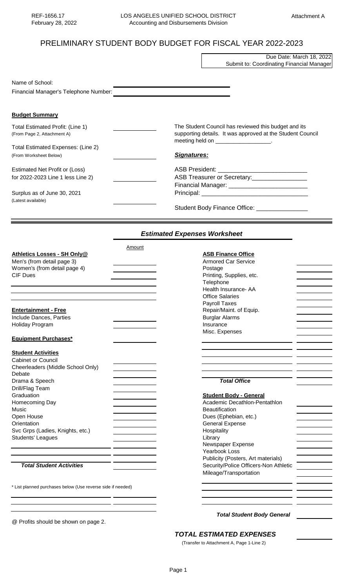## PRELIMINARY STUDENT BODY BUDGET FOR FISCAL YEAR 2022-2023

|                                                                 | Due Date: March 18, 2022<br>Submit to: Coordinating Financial Manager                                                                                      |  |
|-----------------------------------------------------------------|------------------------------------------------------------------------------------------------------------------------------------------------------------|--|
|                                                                 |                                                                                                                                                            |  |
| Name of School:                                                 |                                                                                                                                                            |  |
| Financial Manager's Telephone Number:                           |                                                                                                                                                            |  |
| <b>Budget Summary</b>                                           |                                                                                                                                                            |  |
| Total Estimated Profit: (Line 1)<br>(From Page 2, Attachment A) | The Student Council has reviewed this budget and its<br>supporting details. It was approved at the Student Council<br>meeting held on ___________________. |  |
| Total Estimated Expenses: (Line 2)                              |                                                                                                                                                            |  |
| (From Worksheet Below)                                          | <b>Signatures:</b>                                                                                                                                         |  |
| Estimated Net Profit or (Loss)                                  |                                                                                                                                                            |  |
| for 2022-2023 Line 1 less Line 2)                               | ASB Treasurer or Secretary:                                                                                                                                |  |
|                                                                 | Financial Manager: ______________________________                                                                                                          |  |
| Surplus as of June 30, 2021<br>(Latest available)               |                                                                                                                                                            |  |
|                                                                 | Student Body Finance Office: ________________                                                                                                              |  |

## *Estimated Expenses Worksheet*

|                                                             | Amount |                                       |  |
|-------------------------------------------------------------|--------|---------------------------------------|--|
| Athletics Losses - SH Only@                                 |        | <b>ASB Finance Office</b>             |  |
| Men's (from detail page 3)                                  |        | <b>Armored Car Service</b>            |  |
| Women's (from detail page 4)                                |        | Postage                               |  |
| <b>CIF Dues</b>                                             |        | Printing, Supplies, etc.              |  |
|                                                             |        | Telephone                             |  |
|                                                             |        | Health Insurance- AA                  |  |
|                                                             |        | <b>Office Salaries</b>                |  |
|                                                             |        | <b>Payroll Taxes</b>                  |  |
| <b>Entertainment - Free</b>                                 |        | Repair/Maint. of Equip.               |  |
| Include Dances, Parties                                     |        | <b>Burglar Alarms</b>                 |  |
| Holiday Program                                             |        | Insurance                             |  |
|                                                             |        | Misc. Expenses                        |  |
| <b>Equipment Purchases*</b>                                 |        |                                       |  |
|                                                             |        |                                       |  |
| <b>Student Activities</b>                                   |        |                                       |  |
| <b>Cabinet or Council</b>                                   |        |                                       |  |
| Cheerleaders (Middle School Only)                           |        |                                       |  |
| Debate                                                      |        |                                       |  |
| Drama & Speech                                              |        | <b>Total Office</b>                   |  |
| Drill/Flag Team                                             |        |                                       |  |
| Graduation                                                  |        | <b>Student Body - General</b>         |  |
| Homecoming Day                                              |        | Academic Decathlon-Pentathlon         |  |
| Music                                                       |        | Beautification                        |  |
| Open House                                                  |        | Dues (Ephebian, etc.)                 |  |
| Orientation                                                 |        | <b>General Expense</b>                |  |
| Svc Grps (Ladies, Knights, etc.)                            |        | Hospitality                           |  |
| Students' Leagues                                           |        | Library                               |  |
|                                                             |        | Newspaper Expense                     |  |
|                                                             |        | Yearbook Loss                         |  |
|                                                             |        | Publicity (Posters, Art materials)    |  |
| <b>Total Student Activities</b>                             |        | Security/Police Officers-Non Athletic |  |
|                                                             |        |                                       |  |
|                                                             |        | Mileage/Transportation                |  |
|                                                             |        |                                       |  |
| * List planned purchases below (Use reverse side if needed) |        |                                       |  |
|                                                             |        |                                       |  |
|                                                             |        |                                       |  |
|                                                             |        |                                       |  |

@ Profits should be shown on page 2.

 *Total Student Body General*

*TOTAL ESTIMATED EXPENSES*

(Transfer to Attachment A, Page 1-Line 2)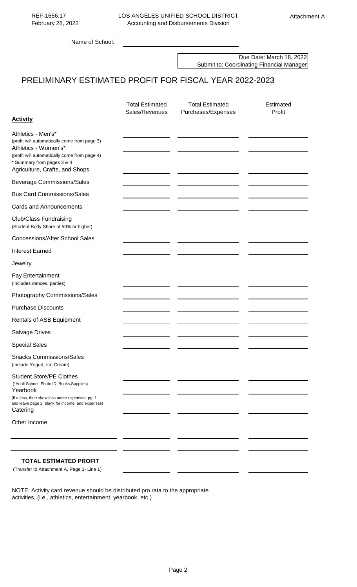Name of School:

Due Date: March 18, 2022 Submit to: Coordinating Financial Manager

# PRELIMINARY ESTIMATED PROFIT FOR FISCAL YEAR 2022-2023

|                                                                                                                                                                                                              | <b>Total Estimated</b><br>Sales/Revenues | <b>Total Estimated</b><br>Purchases/Expenses | Estimated<br>Profit |
|--------------------------------------------------------------------------------------------------------------------------------------------------------------------------------------------------------------|------------------------------------------|----------------------------------------------|---------------------|
| <b>Activity</b>                                                                                                                                                                                              |                                          |                                              |                     |
| Athletics - Men's*<br>(profit will automatically come from page 3)<br>Athletics - Women's*<br>(profit will automatically come from page 4)<br>* Summary from pages 3 & 4<br>Agriculture, Crafts, and Shops   |                                          |                                              |                     |
| <b>Beverage Commissions/Sales</b>                                                                                                                                                                            |                                          |                                              |                     |
| <b>Bus Card Commissions/Sales</b>                                                                                                                                                                            |                                          |                                              |                     |
| <b>Cards and Announcements</b>                                                                                                                                                                               |                                          |                                              |                     |
| <b>Club/Class Fundraising</b><br>(Student Body Share of 50% or higher)                                                                                                                                       |                                          |                                              |                     |
| <b>Concessions/After School Sales</b>                                                                                                                                                                        |                                          |                                              |                     |
| <b>Interest Earned</b>                                                                                                                                                                                       |                                          |                                              |                     |
| Jewelry                                                                                                                                                                                                      |                                          |                                              |                     |
| Pay Entertainment<br>(Includes dances, parties)                                                                                                                                                              |                                          |                                              |                     |
| Photography Commissions/Sales                                                                                                                                                                                |                                          |                                              |                     |
| <b>Purchase Discounts</b>                                                                                                                                                                                    |                                          |                                              |                     |
| Rentals of ASB Equipment                                                                                                                                                                                     |                                          |                                              |                     |
| Salvage Drives                                                                                                                                                                                               |                                          |                                              |                     |
| <b>Special Sales</b>                                                                                                                                                                                         |                                          |                                              |                     |
| <b>Snacks Commissions/Sales</b><br>(Include Yogurt, Ice Cream)                                                                                                                                               |                                          |                                              |                     |
| <b>Student Store/PE Clothes</b><br>(*Adult School: Photo ID, Books, Supplies)<br>Yearbook<br>(If a loss, then show loss under expenses- pg. 1<br>and leave page 2 blank for income and expenses)<br>Catering |                                          |                                              |                     |
| Other Income                                                                                                                                                                                                 |                                          |                                              |                     |
|                                                                                                                                                                                                              |                                          |                                              |                     |
|                                                                                                                                                                                                              |                                          |                                              |                     |
| <b>TOTAL ESTIMATED PROFIT</b><br>(Transfer to Attachment A, Page 1- Line 1)                                                                                                                                  |                                          |                                              |                     |

NOTE: Activity card revenue should be distributed pro rata to the appropriate activities, (i.e., athletics, entertainment, yearbook, etc.)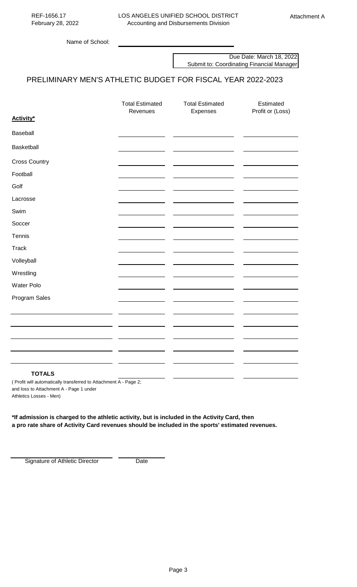Name of School:

Due Date: March 18, 2022 Submit to: Coordinating Financial Manager

## PRELIMINARY MEN'S ATHLETIC BUDGET FOR FISCAL YEAR 2022-2023

|                                                                      | <b>Total Estimated</b><br>Revenues            | <b>Total Estimated</b><br>Expenses | Estimated<br>Profit or (Loss) |
|----------------------------------------------------------------------|-----------------------------------------------|------------------------------------|-------------------------------|
| Activity*                                                            |                                               |                                    |                               |
| Baseball                                                             |                                               |                                    |                               |
| Basketball                                                           |                                               |                                    |                               |
| <b>Cross Country</b>                                                 |                                               |                                    |                               |
| Football                                                             |                                               |                                    |                               |
| Golf                                                                 |                                               |                                    |                               |
| Lacrosse                                                             |                                               |                                    |                               |
| Swim                                                                 |                                               |                                    |                               |
| Soccer                                                               |                                               |                                    |                               |
| Tennis                                                               |                                               |                                    |                               |
| <b>Track</b>                                                         |                                               |                                    |                               |
| Volleyball                                                           |                                               |                                    |                               |
| Wrestling                                                            |                                               |                                    |                               |
| Water Polo                                                           |                                               |                                    |                               |
| Program Sales                                                        |                                               |                                    |                               |
|                                                                      |                                               |                                    |                               |
|                                                                      |                                               |                                    |                               |
|                                                                      |                                               |                                    |                               |
|                                                                      |                                               |                                    |                               |
|                                                                      |                                               |                                    |                               |
| <b>TOTALS</b><br>211.<br>$\mathcal{L}$ can be a set of $\mathcal{L}$ | $\Delta$ $\Delta$ - $\Delta$<br>$\sim$ $\sim$ |                                    |                               |

( Profit will automatically transferred to Attachment A - Page 2; and loss to Attachment A - Page 1 under Athletics Losses - Men)

**\*If admission is charged to the athletic activity, but is included in the Activity Card, then a pro rate share of Activity Card revenues should be included in the sports' estimated revenues.** 

Signature of Athletic Director Date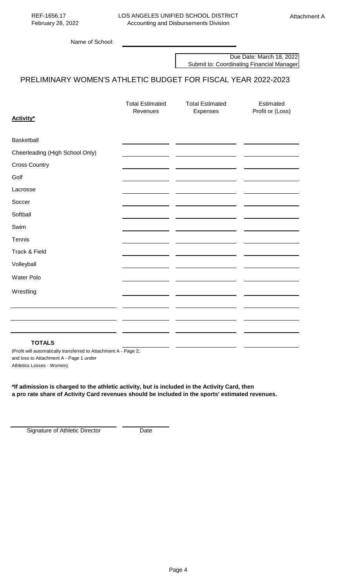Due Date: March 18, 2022 Submit to: Coordinating Financial Manager

## PRELIMINARY WOMEN'S ATHLETIC BUDGET FOR FISCAL YEAR 2022-2023

|                                 | <b>Total Estimated</b><br>Revenues | <b>Total Estimated</b> | Estimated        |
|---------------------------------|------------------------------------|------------------------|------------------|
| Activity*                       |                                    | Expenses               | Profit or (Loss) |
|                                 |                                    |                        |                  |
| Basketball                      |                                    |                        |                  |
| Cheerleading (High School Only) |                                    |                        |                  |
| <b>Cross Country</b>            |                                    |                        |                  |
| Golf                            |                                    |                        |                  |
| Lacrosse                        |                                    |                        |                  |
| Soccer                          |                                    |                        |                  |
| Softball                        |                                    |                        |                  |
| Swim                            |                                    |                        |                  |
| Tennis                          |                                    |                        |                  |
| Track & Field                   |                                    |                        |                  |
| Volleyball                      |                                    |                        |                  |
| Water Polo                      |                                    |                        |                  |
| Wrestling                       |                                    |                        |                  |
|                                 |                                    |                        |                  |
|                                 |                                    |                        |                  |
|                                 |                                    |                        |                  |
| <b>TOTALS</b>                   |                                    |                        |                  |

(Profit will automatically transferred to Attachment A - Page 2; and loss to Attachment A - Page 1 under Athletics Losses - Women)

**\*If admission is charged to the athletic activity, but is included in the Activity Card, then a pro rate share of Activity Card revenues should be included in the sports' estimated revenues.** 

Signature of Athletic Director Date